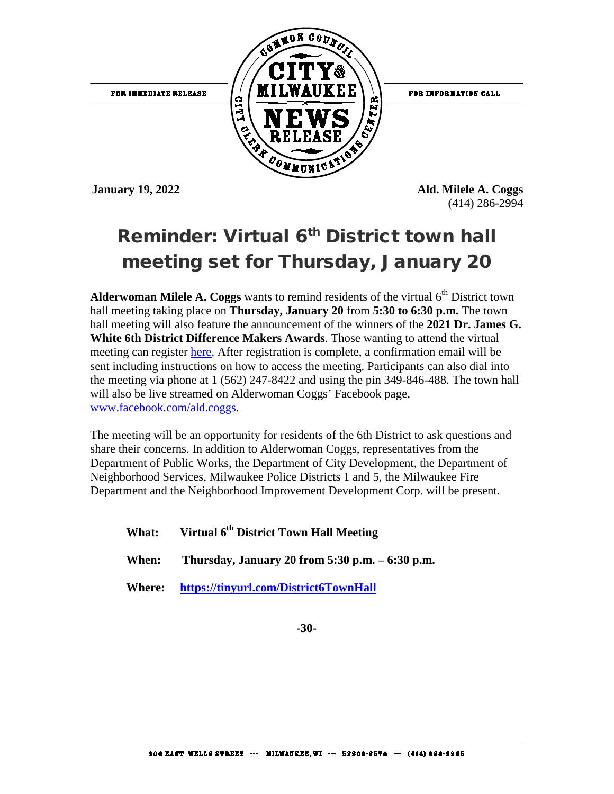

**January 19, 2022 Ald. Milele A. Coggs** (414) 286-2994

#### Reminder: Virtual 6<sup>th</sup> District town hall meeting set for Thursday, January 20

**Alderwoman Milele A. Coggs** wants to remind residents of the virtual  $6<sup>th</sup>$  District town hall meeting taking place on **Thursday, January 20** from **5:30 to 6:30 p.m.** The town hall meeting will also feature the announcement of the winners of the **2021 Dr. James G. White 6th District Difference Makers Awards**. Those wanting to attend the virtual meeting can register [here.](https://register.gotowebinar.com/register/4138609466171751949) After registration is complete, a confirmation email will be sent including instructions on how to access the meeting. Participants can also dial into the meeting via phone at 1 (562) 247-8422 and using the pin 349-846-488. The town hall will also be live streamed on Alderwoman Coggs' Facebook page, [www.facebook.com/ald.coggs.](http://www.facebook.com/ald.coggs)

The meeting will be an opportunity for residents of the 6th District to ask questions and share their concerns. In addition to Alderwoman Coggs, representatives from the Department of Public Works, the Department of City Development, the Department of Neighborhood Services, Milwaukee Police Districts 1 and 5, the Milwaukee Fire Department and the Neighborhood Improvement Development Corp. will be present.

| Virtual 6 <sup>th</sup> District Town Hall Meeting<br>What: |
|-------------------------------------------------------------|
|-------------------------------------------------------------|

- **When: Thursday, January 20 from 5:30 p.m. – 6:30 p.m.**
- **Where: <https://tinyurl.com/District6TownHall>**

**-30-**